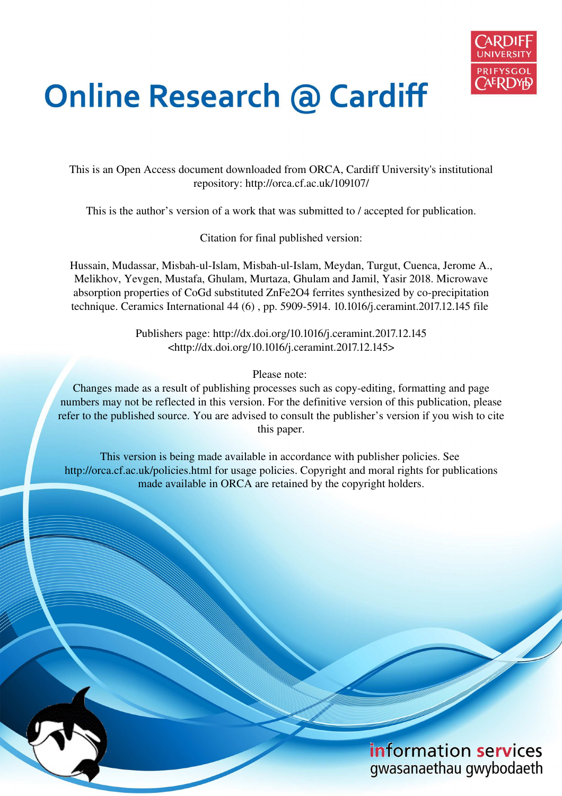

# **Online Research @ Cardiff**

This is an Open Access document downloaded from ORCA, Cardiff University's institutional repository: http://orca.cf.ac.uk/109107/

This is the author's version of a work that was submitted to / accepted for publication.

Citation for final published version:

Hussain, Mudassar, Misbah-ul-Islam, Misbah-ul-Islam, Meydan, Turgut, Cuenca, Jerome A., Melikhov, Yevgen, Mustafa, Ghulam, Murtaza, Ghulam and Jamil, Yasir 2018. Microwave absorption properties of CoGd substituted ZnFe2O4 ferrites synthesized by co-precipitation technique. Ceramics International 44 (6) , pp. 5909-5914. 10.1016/j.ceramint.2017.12.145 file

> Publishers page: http://dx.doi.org/10.1016/j.ceramint.2017.12.145 <http://dx.doi.org/10.1016/j.ceramint.2017.12.145>

> > Please note:

Changes made as a result of publishing processes such as copy-editing, formatting and page numbers may not be reflected in this version. For the definitive version of this publication, please refer to the published source. You are advised to consult the publisher's version if you wish to cite this paper.

This version is being made available in accordance with publisher policies. See http://orca.cf.ac.uk/policies.html for usage policies. Copyright and moral rights for publications made available in ORCA are retained by the copyright holders.

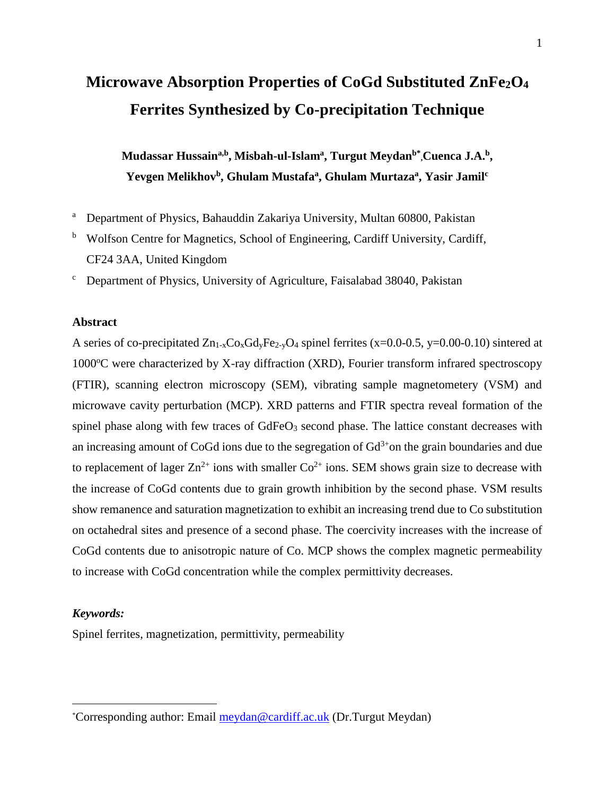# **Microwave Absorption Properties of CoGd Substituted ZnFe2O<sup>4</sup> Ferrites Synthesized by Co-precipitation Technique**

**Mudassar Hussaina,b, Misbah-ul-Islam<sup>a</sup> , Turgut Meydanb\* ,Cuenca J.A.<sup>b</sup> , Yevgen Melikhov<sup>b</sup> , Ghulam Mustafa<sup>a</sup> , Ghulam Murtaza<sup>a</sup> , Yasir Jamil<sup>c</sup>**

- <sup>a</sup> Department of Physics, Bahauddin Zakariya University, Multan 60800, Pakistan
- <sup>b</sup> Wolfson Centre for Magnetics, School of Engineering, Cardiff University, Cardiff, CF24 3AA, United Kingdom
- $\mathbf c$ Department of Physics, University of Agriculture, Faisalabad 38040, Pakistan

#### **Abstract**

A series of co-precipitated  $Zn_{1-x}Co_xGd_yFe_{2-y}O_4$  spinel ferrites (x=0.0-0.5, y=0.00-0.10) sintered at  $1000^{\circ}$ C were characterized by X-ray diffraction (XRD), Fourier transform infrared spectroscopy (FTIR), scanning electron microscopy (SEM), vibrating sample magnetometery (VSM) and microwave cavity perturbation (MCP). XRD patterns and FTIR spectra reveal formation of the spinel phase along with few traces of  $GdFeO<sub>3</sub>$  second phase. The lattice constant decreases with an increasing amount of CoGd ions due to the segregation of  $Gd<sup>3+</sup>$ on the grain boundaries and due to replacement of lager  $\text{Zn}^{2+}$  ions with smaller  $\text{Co}^{2+}$  ions. SEM shows grain size to decrease with the increase of CoGd contents due to grain growth inhibition by the second phase. VSM results show remanence and saturation magnetization to exhibit an increasing trend due to Co substitution on octahedral sites and presence of a second phase. The coercivity increases with the increase of CoGd contents due to anisotropic nature of Co. MCP shows the complex magnetic permeability to increase with CoGd concentration while the complex permittivity decreases.

#### *Keywords:*

 $\overline{a}$ 

Spinel ferrites, magnetization, permittivity, permeability

<sup>\*</sup>Corresponding author: Email [meydan@cardiff.ac.uk](mailto:meydan@cardiff.ac.uk) (Dr.Turgut Meydan)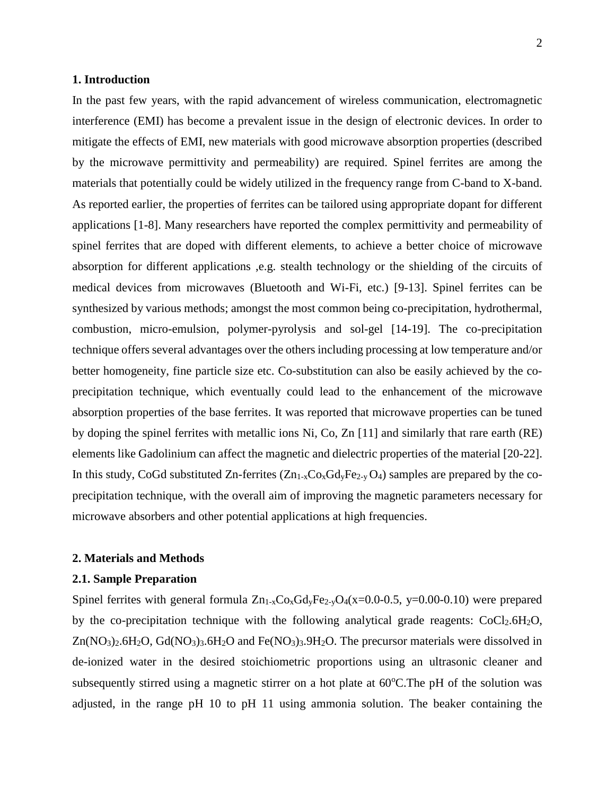#### **1. Introduction**

In the past few years, with the rapid advancement of wireless communication, electromagnetic interference (EMI) has become a prevalent issue in the design of electronic devices. In order to mitigate the effects of EMI, new materials with good microwave absorption properties (described by the microwave permittivity and permeability) are required. Spinel ferrites are among the materials that potentially could be widely utilized in the frequency range from C-band to X-band. As reported earlier, the properties of ferrites can be tailored using appropriate dopant for different applications [1-8]. Many researchers have reported the complex permittivity and permeability of spinel ferrites that are doped with different elements, to achieve a better choice of microwave absorption for different applications ,e.g. stealth technology or the shielding of the circuits of medical devices from microwaves (Bluetooth and Wi-Fi, etc.) [9-13]. Spinel ferrites can be synthesized by various methods; amongst the most common being co-precipitation, hydrothermal, combustion, micro-emulsion, polymer-pyrolysis and sol-gel [14-19]. The co-precipitation technique offers several advantages over the others including processing at low temperature and/or better homogeneity, fine particle size etc. Co-substitution can also be easily achieved by the coprecipitation technique, which eventually could lead to the enhancement of the microwave absorption properties of the base ferrites. It was reported that microwave properties can be tuned by doping the spinel ferrites with metallic ions Ni, Co, Zn [11] and similarly that rare earth (RE) elements like Gadolinium can affect the magnetic and dielectric properties of the material [20-22]. In this study, CoGd substituted Zn-ferrites  $(Zn_{1-x}Co_xGd_yFe_{2-y}O_4)$  samples are prepared by the coprecipitation technique, with the overall aim of improving the magnetic parameters necessary for microwave absorbers and other potential applications at high frequencies.

#### **2. Materials and Methods**

#### **2.1. Sample Preparation**

Spinel ferrites with general formula  $Zn_{1-x}Co_xG_dVFe_{2-x}O_4(x=0.0-0.5, y=0.00-0.10)$  were prepared by the co-precipitation technique with the following analytical grade reagents:  $CoCl<sub>2</sub>.6H<sub>2</sub>O$ , Zn(NO<sub>3</sub>)<sub>2</sub>.6H<sub>2</sub>O, Gd(NO<sub>3</sub>)<sub>3</sub>.6H<sub>2</sub>O and Fe(NO<sub>3</sub>)<sub>3</sub>.9H<sub>2</sub>O. The precursor materials were dissolved in de-ionized water in the desired stoichiometric proportions using an ultrasonic cleaner and subsequently stirred using a magnetic stirrer on a hot plate at  $60^{\circ}$ C. The pH of the solution was adjusted, in the range pH 10 to pH 11 using ammonia solution. The beaker containing the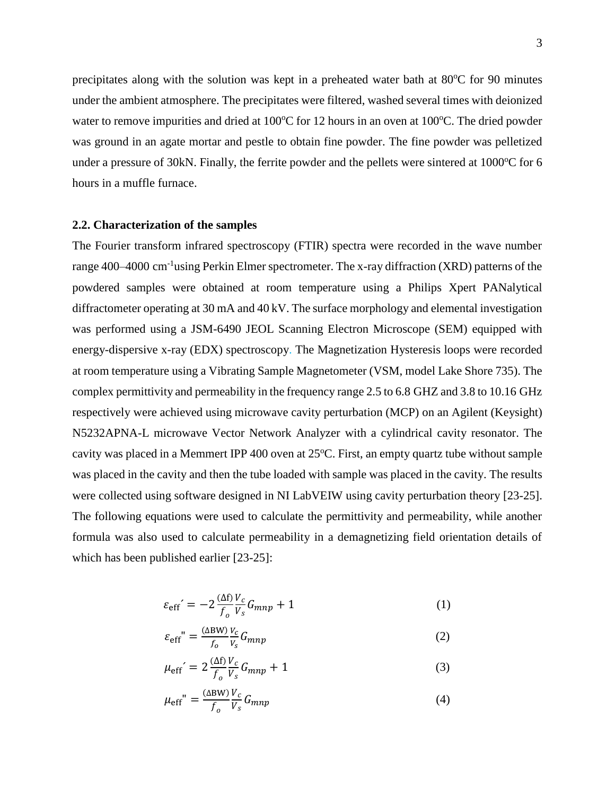precipitates along with the solution was kept in a preheated water bath at  $80^{\circ}$ C for 90 minutes under the ambient atmosphere. The precipitates were filtered, washed several times with deionized water to remove impurities and dried at  $100^{\circ}$ C for 12 hours in an oven at  $100^{\circ}$ C. The dried powder was ground in an agate mortar and pestle to obtain fine powder. The fine powder was pelletized under a pressure of 30kN. Finally, the ferrite powder and the pellets were sintered at  $1000^{\circ}$ C for 6 hours in a muffle furnace.

#### **2.2. Characterization of the samples**

The Fourier transform infrared spectroscopy (FTIR) spectra were recorded in the wave number range 400–4000 cm<sup>-1</sup>using Perkin Elmer spectrometer. The x-ray diffraction (XRD) patterns of the powdered samples were obtained at room temperature using a Philips Xpert PANalytical diffractometer operating at 30 mA and 40 kV. The surface morphology and elemental investigation was performed using a JSM-6490 JEOL Scanning Electron Microscope (SEM) equipped with energy-dispersive x-ray (EDX) spectroscopy. The Magnetization Hysteresis loops were recorded at room temperature using a Vibrating Sample Magnetometer (VSM, model Lake Shore 735). The complex permittivity and permeability in the frequency range 2.5 to 6.8 GHZ and 3.8 to 10.16 GHz respectively were achieved using microwave cavity perturbation (MCP) on an Agilent (Keysight) N5232APNA-L microwave Vector Network Analyzer with a cylindrical cavity resonator. The cavity was placed in a Memmert IPP 400 oven at  $25^{\circ}$ C. First, an empty quartz tube without sample was placed in the cavity and then the tube loaded with sample was placed in the cavity. The results were collected using software designed in NI LabVEIW using cavity perturbation theory [23-25]. The following equations were used to calculate the permittivity and permeability, while another formula was also used to calculate permeability in a demagnetizing field orientation details of which has been published earlier [23-25]:

$$
\varepsilon_{\rm eff}' = -2 \frac{\Delta f}{f_o} \frac{V_c}{V_s} G_{mnp} + 1 \tag{1}
$$

$$
\varepsilon_{\rm eff}^{\quad \nu} = \frac{(\Delta \text{BW})}{f_o} \frac{v_c}{v_s} G_{mnp} \tag{2}
$$

$$
\mu_{\rm eff}' = 2 \frac{\Delta f}{f_o} \frac{V_c}{V_s} G_{mnp} + 1 \tag{3}
$$

$$
\mu_{\rm eff}^{\prime\prime} = \frac{(\Delta \rm BW)}{f_o} \frac{V_c}{V_s} G_{mnp} \tag{4}
$$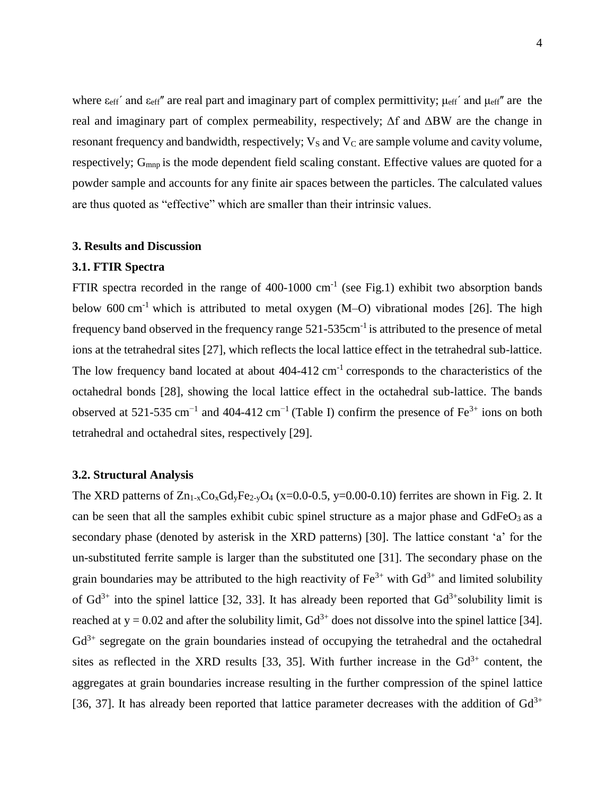where  $\varepsilon_{\rm eff}$ ' and  $\varepsilon_{\rm eff}$ '' are real part and imaginary part of complex permittivity;  $\mu_{\rm eff}$ ' and  $\mu_{\rm eff}$ '' are the real and imaginary part of complex permeability, respectively; Δf and ΔBW are the change in resonant frequency and bandwidth, respectively;  $V_s$  and  $V_c$  are sample volume and cavity volume, respectively; G<sub>mnp</sub> is the mode dependent field scaling constant. Effective values are quoted for a powder sample and accounts for any finite air spaces between the particles. The calculated values are thus quoted as "effective" which are smaller than their intrinsic values.

#### **3. Results and Discussion**

#### **3.1. FTIR Spectra**

FTIR spectra recorded in the range of  $400-1000$  cm<sup>-1</sup> (see Fig.1) exhibit two absorption bands below 600 cm<sup>-1</sup> which is attributed to metal oxygen  $(M-O)$  vibrational modes [26]. The high frequency band observed in the frequency range  $521-535$ cm<sup>-1</sup> is attributed to the presence of metal ions at the tetrahedral sites [27], which reflects the local lattice effect in the tetrahedral sub-lattice. The low frequency band located at about  $404-412$  cm<sup>-1</sup> corresponds to the characteristics of the octahedral bonds [28], showing the local lattice effect in the octahedral sub-lattice. The bands observed at 521-535 cm<sup>-1</sup> and 404-412 cm<sup>-1</sup> (Table I) confirm the presence of Fe<sup>3+</sup> ions on both tetrahedral and octahedral sites, respectively [29].

#### **3.2. Structural Analysis**

The XRD patterns of  $Zn_{1-x}Co_xGd_yFe_{2-y}O_4$  (x=0.0-0.5, y=0.00-0.10) ferrites are shown in Fig. 2. It can be seen that all the samples exhibit cubic spinel structure as a major phase and  $GdFeO<sub>3</sub>$  as a secondary phase (denoted by asterisk in the XRD patterns) [30]. The lattice constant 'a' for the un-substituted ferrite sample is larger than the substituted one [31]. The secondary phase on the grain boundaries may be attributed to the high reactivity of  $Fe^{3+}$  with  $Gd^{3+}$  and limited solubility of  $Gd^{3+}$  into the spinel lattice [32, 33]. It has already been reported that  $Gd^{3+}$ solubility limit is reached at  $y = 0.02$  and after the solubility limit,  $Gd^{3+}$  does not dissolve into the spinel lattice [34].  $Gd^{3+}$  segregate on the grain boundaries instead of occupying the tetrahedral and the octahedral sites as reflected in the XRD results [33, 35]. With further increase in the  $Gd^{3+}$  content, the aggregates at grain boundaries increase resulting in the further compression of the spinel lattice [36, 37]. It has already been reported that lattice parameter decreases with the addition of  $Gd^{3+}$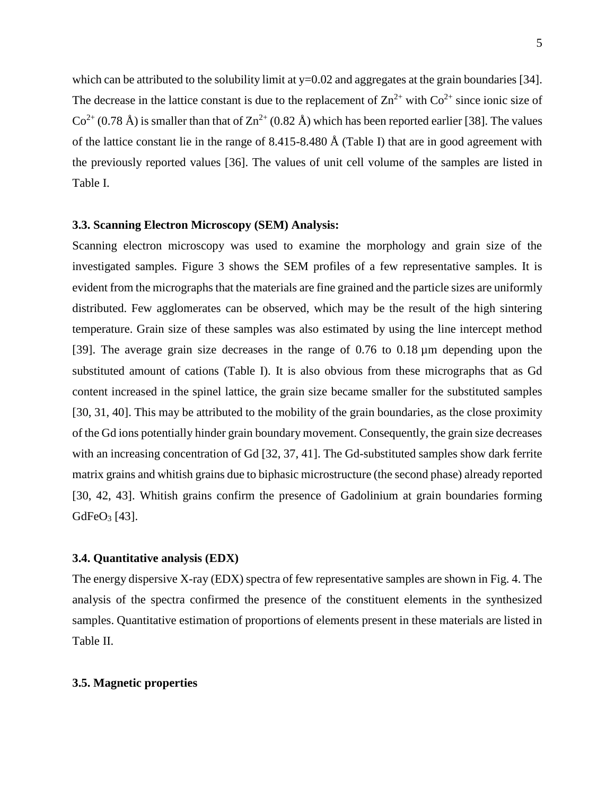which can be attributed to the solubility limit at y=0.02 and aggregates at the grain boundaries [34]. The decrease in the lattice constant is due to the replacement of  $\text{Zn}^{2+}$  with  $\text{Co}^{2+}$  since ionic size of  $Co^{2+}(0.78 \text{ Å})$  is smaller than that of  $Zn^{2+}(0.82 \text{ Å})$  which has been reported earlier [38]. The values of the lattice constant lie in the range of 8.415-8.480 Å (Table I) that are in good agreement with the previously reported values [36]. The values of unit cell volume of the samples are listed in Table I.

#### **3.3. Scanning Electron Microscopy (SEM) Analysis:**

Scanning electron microscopy was used to examine the morphology and grain size of the investigated samples. Figure 3 shows the SEM profiles of a few representative samples. It is evident from the micrographs that the materials are fine grained and the particle sizes are uniformly distributed. Few agglomerates can be observed, which may be the result of the high sintering temperature. Grain size of these samples was also estimated by using the line intercept method [39]. The average grain size decreases in the range of 0.76 to 0.18 µm depending upon the substituted amount of cations (Table I). It is also obvious from these micrographs that as Gd content increased in the spinel lattice, the grain size became smaller for the substituted samples [30, 31, 40]. This may be attributed to the mobility of the grain boundaries, as the close proximity of the Gd ions potentially hinder grain boundary movement. Consequently, the grain size decreases with an increasing concentration of Gd [32, 37, 41]. The Gd-substituted samples show dark ferrite matrix grains and whitish grains due to biphasic microstructure (the second phase) already reported [30, 42, 43]. Whitish grains confirm the presence of Gadolinium at grain boundaries forming GdFe $O_3$  [43].

#### **3.4. Quantitative analysis (EDX)**

The energy dispersive X-ray (EDX) spectra of few representative samples are shown in Fig. 4. The analysis of the spectra confirmed the presence of the constituent elements in the synthesized samples. Quantitative estimation of proportions of elements present in these materials are listed in Table II.

#### **3.5. Magnetic properties**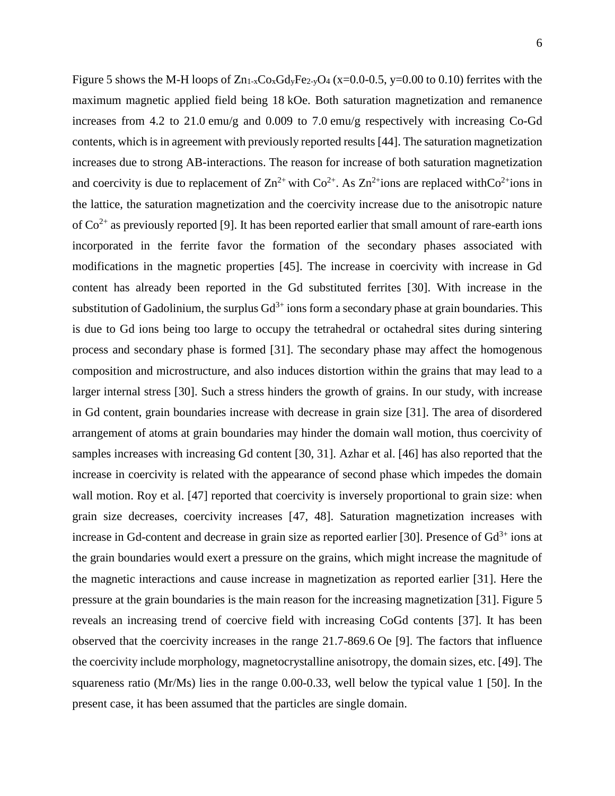Figure 5 shows the M-H loops of  $Zn_{1-x}Co_xGdyFe_{2-y}O_4$  (x=0.0-0.5, y=0.00 to 0.10) ferrites with the maximum magnetic applied field being 18 kOe. Both saturation magnetization and remanence increases from 4.2 to 21.0 emu/g and 0.009 to 7.0 emu/g respectively with increasing Co-Gd contents, which is in agreement with previously reported results [44]. The saturation magnetization increases due to strong AB-interactions. The reason for increase of both saturation magnetization and coercivity is due to replacement of  $\text{Zn}^{2+}$  with  $\text{Co}^{2+}$ . As  $\text{Zn}^{2+}$ ions are replaced withCo<sup>2+</sup>ions in the lattice, the saturation magnetization and the coercivity increase due to the anisotropic nature of  $Co<sup>2+</sup>$  as previously reported [9]. It has been reported earlier that small amount of rare-earth ions incorporated in the ferrite favor the formation of the secondary phases associated with modifications in the magnetic properties [45]. The increase in coercivity with increase in Gd content has already been reported in the Gd substituted ferrites [30]. With increase in the substitution of Gadolinium, the surplus  $Gd^{3+}$  ions form a secondary phase at grain boundaries. This is due to Gd ions being too large to occupy the tetrahedral or octahedral sites during sintering process and secondary phase is formed [31]. The secondary phase may affect the homogenous composition and microstructure, and also induces distortion within the grains that may lead to a larger internal stress [30]. Such a stress hinders the growth of grains. In our study, with increase in Gd content, grain boundaries increase with decrease in grain size [31]. The area of disordered arrangement of atoms at grain boundaries may hinder the domain wall motion, thus coercivity of samples increases with increasing Gd content [30, 31]. Azhar et al. [46] has also reported that the increase in coercivity is related with the appearance of second phase which impedes the domain wall motion. Roy et al. [47] reported that coercivity is inversely proportional to grain size: when grain size decreases, coercivity increases [47, 48]. Saturation magnetization increases with increase in Gd-content and decrease in grain size as reported earlier [30]. Presence of  $Gd^{3+}$  ions at the grain boundaries would exert a pressure on the grains, which might increase the magnitude of the magnetic interactions and cause increase in magnetization as reported earlier [31]. Here the pressure at the grain boundaries is the main reason for the increasing magnetization [31]. Figure 5 reveals an increasing trend of coercive field with increasing CoGd contents [37]. It has been observed that the coercivity increases in the range 21.7-869.6 Oe [9]. The factors that influence the coercivity include morphology, magnetocrystalline anisotropy, the domain sizes, etc. [49]. The squareness ratio (Mr/Ms) lies in the range 0.00-0.33, well below the typical value 1 [50]. In the present case, it has been assumed that the particles are single domain.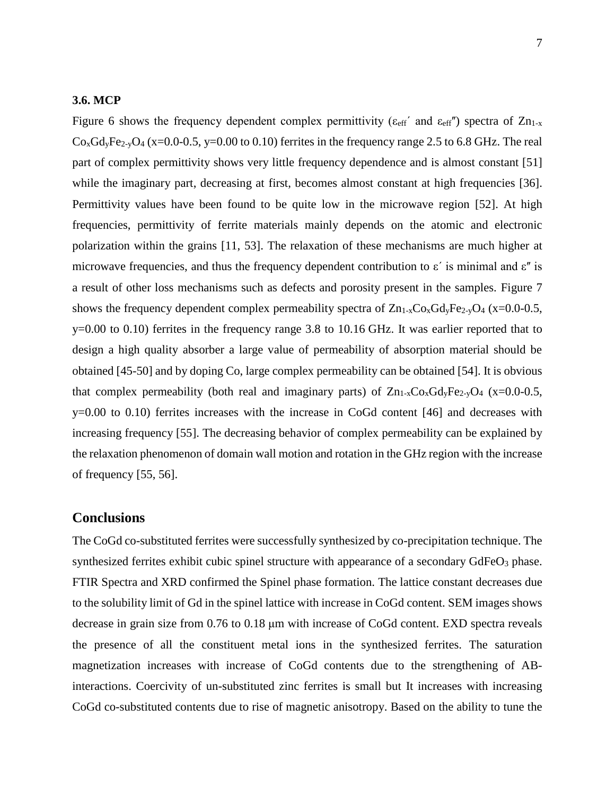#### **3.6. MCP**

Figure 6 shows the frequency dependent complex permittivity ( $\varepsilon_{\text{eff}}$  and  $\varepsilon_{\text{eff}}$ ) spectra of Zn<sub>1-x</sub>  $Co<sub>x</sub>Gd<sub>y</sub>Fe<sub>2-y</sub>O<sub>4</sub>$  (x=0.0-0.5, y=0.00 to 0.10) ferrites in the frequency range 2.5 to 6.8 GHz. The real part of complex permittivity shows very little frequency dependence and is almost constant [51] while the imaginary part, decreasing at first, becomes almost constant at high frequencies [36]. Permittivity values have been found to be quite low in the microwave region [52]. At high frequencies, permittivity of ferrite materials mainly depends on the atomic and electronic polarization within the grains [11, 53]. The relaxation of these mechanisms are much higher at microwave frequencies, and thus the frequency dependent contribution to  $\varepsilon'$  is minimal and  $\varepsilon''$  is a result of other loss mechanisms such as defects and porosity present in the samples. Figure 7 shows the frequency dependent complex permeability spectra of  $Zn_{1-x}Co_xGd_yFe_{2-y}O_4$  (x=0.0-0.5, y=0.00 to 0.10) ferrites in the frequency range 3.8 to 10.16 GHz. It was earlier reported that to design a high quality absorber a large value of permeability of absorption material should be obtained [45-50] and by doping Co, large complex permeability can be obtained [54]. It is obvious that complex permeability (both real and imaginary parts) of  $Zn_{1-x}Co_xGd_yFe_{2-y}O_4$  (x=0.0-0.5, y=0.00 to 0.10) ferrites increases with the increase in CoGd content [46] and decreases with increasing frequency [55]. The decreasing behavior of complex permeability can be explained by the relaxation phenomenon of domain wall motion and rotation in the GHz region with the increase of frequency [55, 56].

#### **Conclusions**

The CoGd co-substituted ferrites were successfully synthesized by co-precipitation technique. The synthesized ferrites exhibit cubic spinel structure with appearance of a secondary GdFeO<sub>3</sub> phase. FTIR Spectra and XRD confirmed the Spinel phase formation. The lattice constant decreases due to the solubility limit of Gd in the spinel lattice with increase in CoGd content. SEM images shows decrease in grain size from 0.76 to 0.18 μm with increase of CoGd content. EXD spectra reveals the presence of all the constituent metal ions in the synthesized ferrites. The saturation magnetization increases with increase of CoGd contents due to the strengthening of ABinteractions. Coercivity of un-substituted zinc ferrites is small but It increases with increasing CoGd co-substituted contents due to rise of magnetic anisotropy. Based on the ability to tune the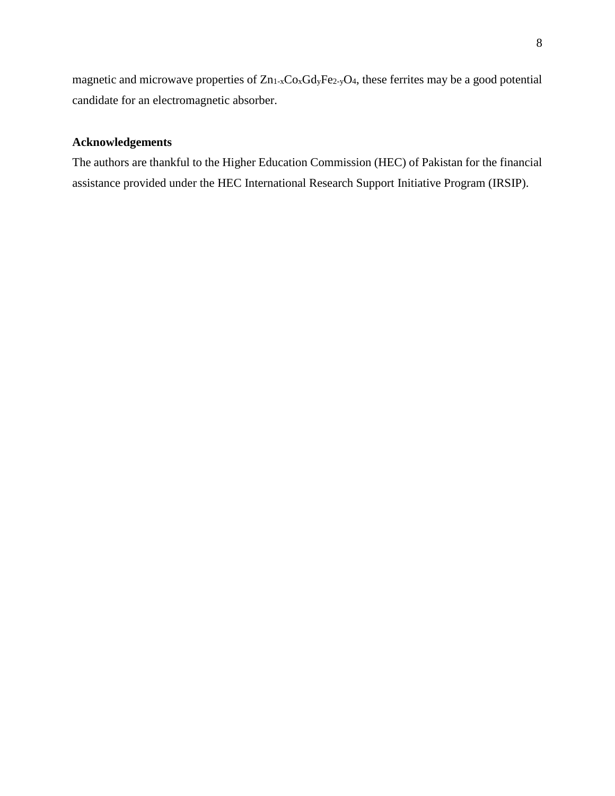magnetic and microwave properties of  $Zn_{1-x}Co_xGdyFe_{2-y}O_4$ , these ferrites may be a good potential candidate for an electromagnetic absorber.

## **Acknowledgements**

The authors are thankful to the Higher Education Commission (HEC) of Pakistan for the financial assistance provided under the HEC International Research Support Initiative Program (IRSIP).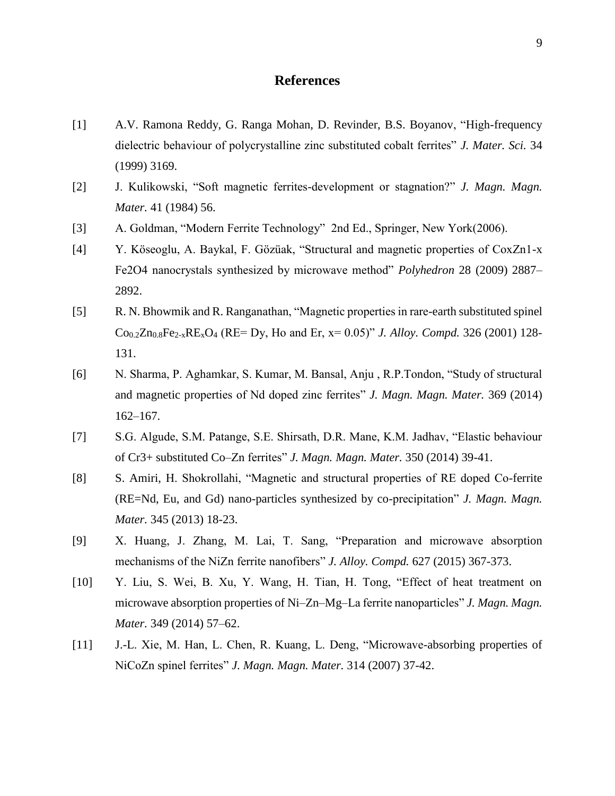## **References**

- [1] A.V. Ramona Reddy, G. Ranga Mohan, D. Revinder, B.S. Boyanov, "High-frequency dielectric behaviour of polycrystalline zinc substituted cobalt ferrites" *J. Mater. Sci.* 34 (1999) 3169.
- [2] J. Kulikowski, "Soft magnetic ferrites-development or stagnation?" *J. Magn. Magn. Mater.* 41 (1984) 56.
- [3] A. Goldman, "Modern Ferrite Technology" 2nd Ed., Springer, New York(2006).
- [4] Y. Köseoglu, A. Baykal, F. Gözüak, "Structural and magnetic properties of CoxZn1-x Fe2O4 nanocrystals synthesized by microwave method" *Polyhedron* 28 (2009) 2887– 2892.
- [5] R. N. Bhowmik and R. Ranganathan, "Magnetic properties in rare-earth substituted spinel  $Co_{0.2}Zn_{0.8}Fe_{2-x}RE_{x}O_{4}$  (RE= Dy, Ho and Er,  $x= 0.05$ )" *J. Alloy. Compd.* 326 (2001) 128-131.
- [6] N. Sharma, P. Aghamkar, S. Kumar, M. Bansal, Anju , R.P.Tondon, "Study of structural and magnetic properties of Nd doped zinc ferrites" *J. Magn. Magn. Mater.* 369 (2014) 162–167.
- [7] S.G. Algude, S.M. Patange, S.E. Shirsath, D.R. Mane, K.M. Jadhav, "Elastic behaviour of Cr3+ substituted Co–Zn ferrites" *J. Magn. Magn. Mater.* 350 (2014) 39-41.
- [8] S. Amiri, H. Shokrollahi, "Magnetic and structural properties of RE doped Co-ferrite (RE=Nd, Eu, and Gd) nano-particles synthesized by co-precipitation" *J. Magn. Magn. Mater.* 345 (2013) 18-23.
- [9] X. Huang, J. Zhang, M. Lai, T. Sang, "Preparation and microwave absorption mechanisms of the NiZn ferrite nanofibers" *J. Alloy. Compd.* 627 (2015) 367-373.
- [10] Y. Liu, S. Wei, B. Xu, Y. Wang, H. Tian, H. Tong, "Effect of heat treatment on microwave absorption properties of Ni–Zn–Mg–La ferrite nanoparticles" *J. Magn. Magn. Mater.* 349 (2014) 57–62.
- [11] J.-L. Xie, M. Han, L. Chen, R. Kuang, L. Deng, "Microwave-absorbing properties of NiCoZn spinel ferrites" *J. Magn. Magn. Mater.* 314 (2007) 37-42.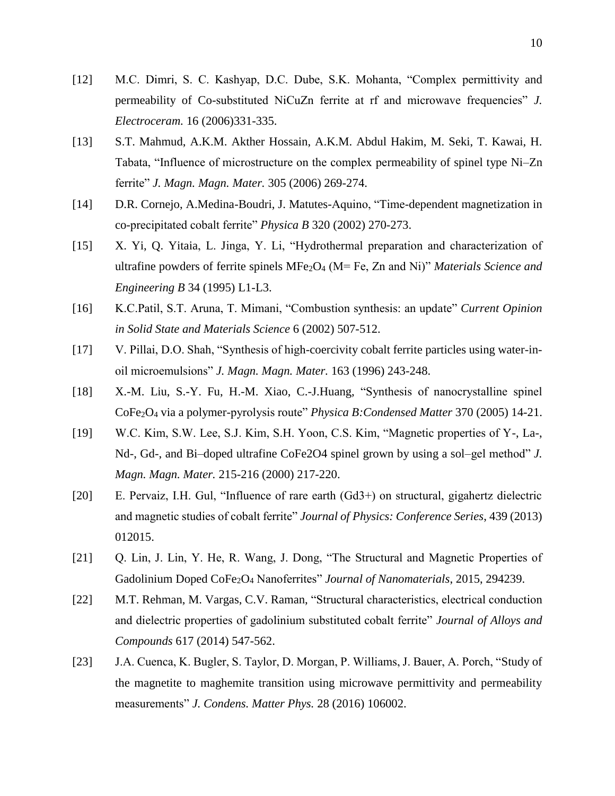- [12] M.C. Dimri, S. C. Kashyap, D.C. Dube, S.K. Mohanta, "Complex permittivity and permeability of Co-substituted NiCuZn ferrite at rf and microwave frequencies" *J. Electroceram.* 16 (2006)331-335.
- [13] S.T. Mahmud, A.K.M. Akther Hossain, A.K.M. Abdul Hakim, M. Seki, T. Kawai, H. Tabata, "Influence of microstructure on the complex permeability of spinel type Ni–Zn ferrite" *J. Magn. Magn. Mater.* 305 (2006) 269-274.
- [14] D.R. Cornejo, A.Medina-Boudri, J. Matutes-Aquino, "Time-dependent magnetization in co-precipitated cobalt ferrite" *Physica B* 320 (2002) 270-273.
- [15] X. Yi, Q. Yitaia, L. Jinga, Y. Li, "Hydrothermal preparation and characterization of ultrafine powders of ferrite spinels MFe2O<sup>4</sup> (M= Fe, Zn and Ni)" *Materials Science and Engineering B* 34 (1995) L1-L3.
- [16] K.C.Patil, S.T. Aruna, T. Mimani, "Combustion synthesis: an update" *Current Opinion in Solid State and Materials Science* 6 (2002) 507-512.
- [17] V. Pillai, D.O. Shah, "Synthesis of high-coercivity cobalt ferrite particles using water-inoil microemulsions" *J. Magn. Magn. Mater.* 163 (1996) 243-248.
- [18] X.-M. Liu, S.-Y. Fu, H.-M. Xiao, C.-J.Huang, "Synthesis of nanocrystalline spinel CoFe2O4 via a polymer-pyrolysis route" *Physica B:Condensed Matter* 370 (2005) 14-21.
- [19] W.C. Kim, S.W. Lee, S.J. Kim, S.H. Yoon, C.S. Kim, "Magnetic properties of Y-, La-, Nd-, Gd-, and Bi–doped ultrafine CoFe2O4 spinel grown by using a sol–gel method" *J. Magn. Magn. Mater.* 215-216 (2000) 217-220.
- [20] E. Pervaiz, I.H. Gul, "Influence of rare earth (Gd3+) on structural, gigahertz dielectric and magnetic studies of cobalt ferrite" *Journal of Physics: Conference Series*, 439 (2013) 012015.
- [21] Q. Lin, J. Lin, Y. He, R. Wang, J. Dong, "The Structural and Magnetic Properties of Gadolinium Doped CoFe2O<sup>4</sup> Nanoferrites" *Journal of Nanomaterials*, 2015, 294239.
- [22] M.T. Rehman, M. Vargas, C.V. Raman, "Structural characteristics, electrical conduction and dielectric properties of gadolinium substituted cobalt ferrite" *Journal of Alloys and Compounds* 617 (2014) 547-562.
- [23] J.A. Cuenca, K. Bugler, S. Taylor, D. Morgan, P. Williams, J. Bauer, A. Porch, "Study of the magnetite to maghemite transition using microwave permittivity and permeability measurements" *J. Condens. Matter Phys.* 28 (2016) 106002.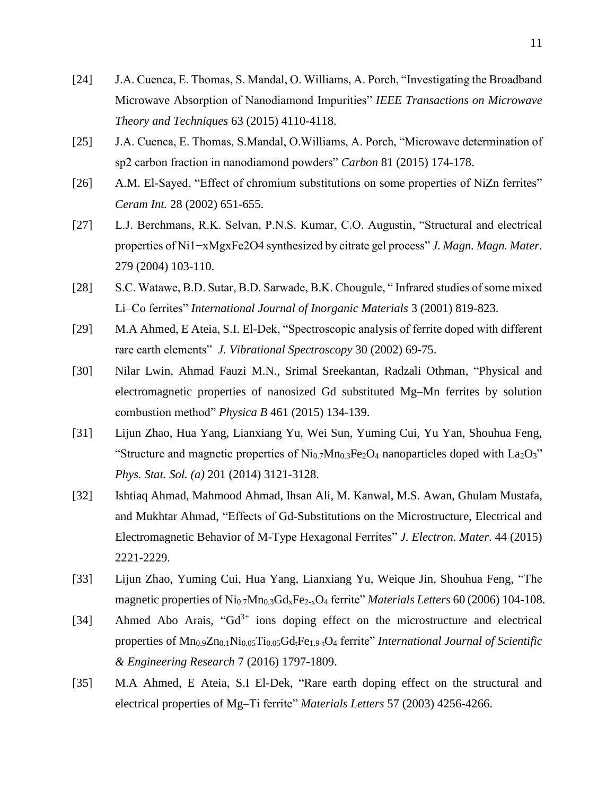- [24] J.A. Cuenca, E. Thomas, S. Mandal, O. Williams, A. Porch, "Investigating the Broadband Microwave Absorption of Nanodiamond Impurities" *IEEE Transactions on Microwave Theory and Techniques* 63 (2015) 4110-4118.
- [25] J.A. Cuenca, E. Thomas, S.Mandal, O.Williams, A. Porch, "Microwave determination of sp2 carbon fraction in nanodiamond powders" *Carbon* 81 (2015) 174-178.
- [26] A.M. El-Sayed, "Effect of chromium substitutions on some properties of NiZn ferrites" *Ceram Int.* 28 (2002) 651-655.
- [27] L.J. Berchmans, R.K. Selvan, P.N.S. Kumar, C.O. Augustin, "Structural and electrical properties of Ni1−xMgxFe2O4 synthesized by citrate gel process" *J. Magn. Magn. Mater.* 279 (2004) 103-110.
- [28] S.C. Watawe, B.D. Sutar, B.D. Sarwade, B.K. Chougule, " Infrared studies of some mixed Li–Co ferrites" *International Journal of Inorganic Materials* 3 (2001) 819-823.
- [29] M.A Ahmed, E Ateia, S.I. El-Dek, "Spectroscopic analysis of ferrite doped with different rare earth elements" *J. Vibrational Spectroscopy* 30 (2002) 69-75.
- [30] Nilar Lwin, Ahmad Fauzi M.N., Srimal Sreekantan, Radzali Othman, "Physical and electromagnetic properties of nanosized Gd substituted Mg–Mn ferrites by solution combustion method" *Physica B* 461 (2015) 134-139.
- [31] Lijun Zhao, Hua Yang, Lianxiang Yu, Wei Sun, Yuming Cui, Yu Yan, Shouhua Feng, "Structure and magnetic properties of  $\text{Ni}_{0.7}\text{Mn}_{0.3}\text{Fe}_2\text{O}_4$  nanoparticles doped with  $\text{La}_2\text{O}_3$ " *Phys. Stat. Sol. (a)* 201 (2014) 3121-3128.
- [32] Ishtiaq Ahmad, Mahmood Ahmad, Ihsan Ali, M. Kanwal, M.S. Awan, Ghulam Mustafa, and Mukhtar Ahmad, "Effects of Gd-Substitutions on the Microstructure, Electrical and Electromagnetic Behavior of M-Type Hexagonal Ferrites" *J. Electron. Mater*. 44 (2015) 2221-2229.
- [33] Lijun Zhao, Yuming Cui, Hua Yang, Lianxiang Yu, Weique Jin, Shouhua Feng, "The magnetic properties of Ni0.7Mn0.3GdxFe2-xO<sup>4</sup> ferrite" *Materials Letters* 60 (2006) 104-108.
- [34] Ahmed Abo Arais, " $Gd^{3+}$  ions doping effect on the microstructure and electrical properties of Mn<sub>0.9</sub>Zn<sub>0.1</sub>Ni<sub>0.05</sub>Ti<sub>0.05</sub>Gd<sub>t</sub>Fe<sub>1.9-t</sub>O<sub>4</sub> ferrite" *International Journal of Scientific & Engineering Research* 7 (2016) 1797-1809.
- [35] [M.A Ahmed,](http://www.sciencedirect.com/science/article/pii/S0924203102000401) [E Ateia,](http://www.sciencedirect.com/science/article/pii/S0924203102000401) [S.I El-Dek,](http://www.sciencedirect.com/science/article/pii/S0924203102000401) "Rare earth doping effect on the structural and electrical properties of Mg–Ti ferrite" *Materials Letters* 57 (2003) 4256-4266.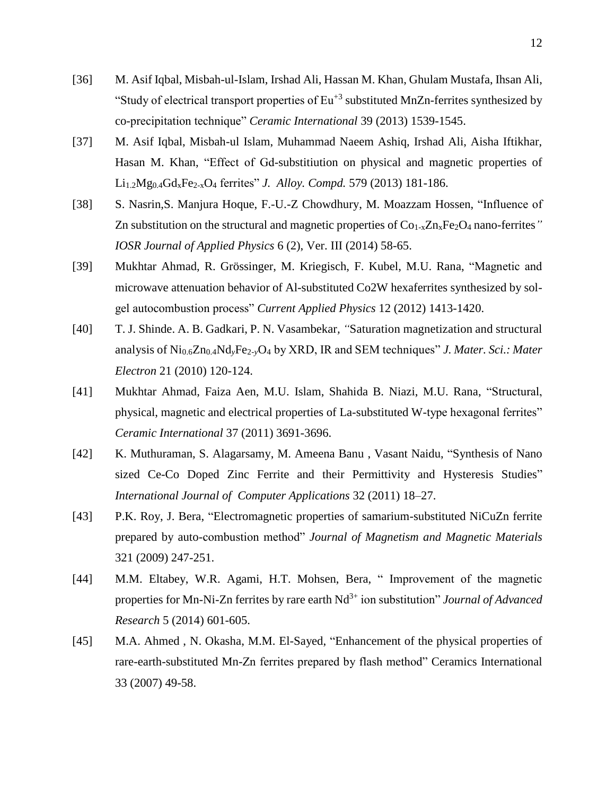- [36] M. Asif Iqbal, Misbah-ul-Islam, Irshad Ali, Hassan M. Khan, Ghulam Mustafa, Ihsan Ali, "Study of electrical transport properties of  $Eu<sup>+3</sup>$  substituted MnZn-ferrites synthesized by co-precipitation technique" *Ceramic International* 39 (2013) 1539-1545.
- [37] M. Asif Iqbal, Misbah-ul Islam, Muhammad Naeem Ashiq, Irshad Ali, Aisha Iftikhar, Hasan M. Khan, "Effect of Gd-substitiution on physical and magnetic properties of Li1.2Mg0.4GdxFe2-xO<sup>4</sup> ferrites" *J. Alloy. Compd.* 579 (2013) 181-186.
- [38] S. Nasrin, S. Manjura Hoque, F.-U.-Z Chowdhury, M. Moazzam Hossen, "Influence of Zn substitution on the structural and magnetic properties of Co<sub>1-x</sub>Zn<sub>x</sub>Fe<sub>2</sub>O<sub>4</sub> nano-ferrites" *IOSR Journal of Applied Physics* 6 (2), Ver. III (2014) 58-65.
- [39] Mukhtar Ahmad, R. Grössinger, M. Kriegisch, F. Kubel, M.U. Rana, "Magnetic and microwave attenuation behavior of Al-substituted Co2W hexaferrites synthesized by solgel autocombustion process" *Current Applied Physics* 12 (2012) 1413-1420.
- [40] T. J. Shinde. A. B. Gadkari, P. N. Vasambekar*, "*Saturation magnetization and structural analysis of Ni0.6Zn0.4Nd*y*Fe2-*y*O<sup>4</sup> by XRD, IR and SEM techniques" *J. Mater. Sci.: Mater Electron* 21 (2010) 120-124.
- [41] Mukhtar Ahmad, Faiza Aen, M.U. Islam, Shahida B. Niazi, M.U. Rana, "Structural, physical, magnetic and electrical properties of La-substituted W-type hexagonal ferrites" *Ceramic International* 37 (2011) 3691-3696.
- [42] K. Muthuraman, S. Alagarsamy, M. Ameena Banu, Vasant Naidu, "Synthesis of Nano sized Ce-Co Doped Zinc Ferrite and their Permittivity and Hysteresis Studies" *International Journal of Computer Applications* 32 (2011) 18–27.
- [43] P.K. Roy, J. Bera, "Electromagnetic properties of samarium-substituted NiCuZn ferrite prepared by auto-combustion method" *Journal of Magnetism and Magnetic Materials* 321 (2009) 247-251.
- [44] M.M. Eltabey, W.R. Agami, H.T. Mohsen, Bera, " Improvement of the magnetic properties for Mn-Ni-Zn ferrites by rare earth Nd<sup>3+</sup> ion substitution" *Journal of Advanced Research* 5 (2014) 601-605.
- [45] M.A. Ahmed, N. Okasha, M.M. El-Sayed, "Enhancement of the physical properties of rare-earth-substituted Mn-Zn ferrites prepared by flash method" Ceramics International 33 (2007) 49-58.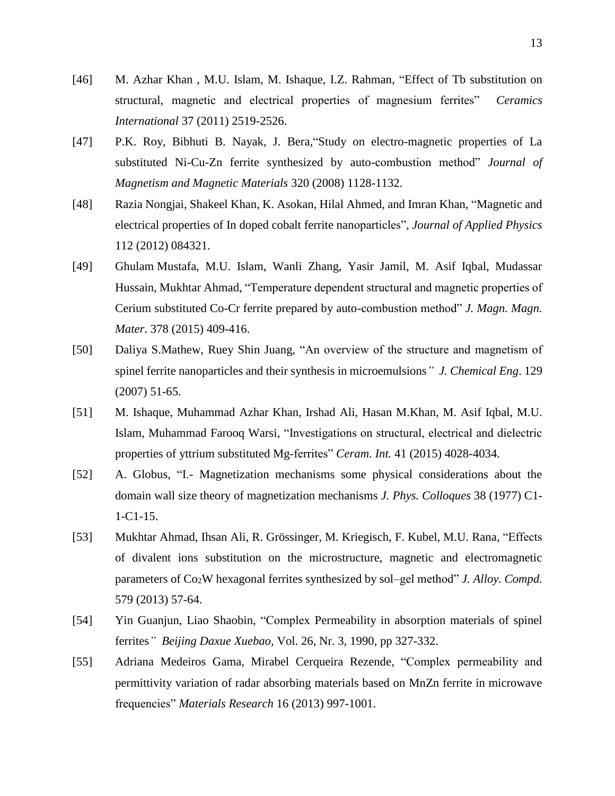- [46] M. Azhar Khan , M.U. Islam, M. Ishaque, I.Z. Rahman, "Effect of Tb substitution on structural, magnetic and electrical properties of magnesium ferrites" *Ceramics International* 37 (2011) 2519-2526.
- [47] P.K. Roy, Bibhuti B. Nayak, J. Bera,"Study on electro-magnetic properties of La substituted Ni-Cu-Zn ferrite synthesized by auto-combustion method" *Journal of Magnetism and Magnetic Materials* 320 (2008) 1128-1132.
- [48] Razia Nongjai, Shakeel Khan, K. Asokan, Hilal Ahmed, and Imran Khan, "Magnetic and electrical properties of In doped cobalt ferrite nanoparticles", *Journal of Applied Physics* 112 (2012) 084321.
- [49] Ghulam Mustafa, M.U. Islam, Wanli Zhang, Yasir Jamil, M. Asif Iqbal, Mudassar Hussain, Mukhtar Ahmad, "Temperature dependent structural and magnetic properties of Cerium substituted Co-Cr ferrite prepared by auto-combustion method" *J. Magn. Magn. Mater*. 378 (2015) 409-416.
- [50] Daliya S.Mathew, Ruey Shin Juang, "An overview of the structure and magnetism of spinel ferrite nanoparticles and their synthesis in microemulsions*" J. Chemical Eng*. 129 (2007) 51-65.
- [51] M. Ishaque, Muhammad Azhar Khan, Irshad Ali, Hasan M.Khan, M. Asif Iqbal, M.U. Islam, Muhammad Farooq Warsi, "Investigations on structural, electrical and dielectric properties of yttrium substituted Mg-ferrites" *Ceram. Int.* 41 (2015) 4028-4034.
- [52] A. Globus, "I.- Magnetization mechanisms some physical considerations about the domain wall size theory of magnetization mechanisms *J. Phys. Colloques* 38 (1977) C1- 1-C1-15.
- [53] Mukhtar Ahmad, Ihsan Ali, R. Grössinger, M. Kriegisch, F. Kubel, M.U. Rana, "Effects of divalent ions substitution on the microstructure, magnetic and electromagnetic parameters of Co2W hexagonal ferrites synthesized by sol–gel method" *J. Alloy. Compd.*  579 (2013) 57-64.
- [54] Yin Guanjun, Liao Shaobin, "Complex Permeability in absorption materials of spinel ferrites*" Beijing Daxue Xuebao,* Vol. 26, Nr. 3, 1990, pp 327-332.
- [55] Adriana Medeiros Gama, Mirabel Cerqueira Rezende, "Complex permeability and permittivity variation of radar absorbing materials based on MnZn ferrite in microwave frequencies" *Materials Research* 16 (2013) 997-1001.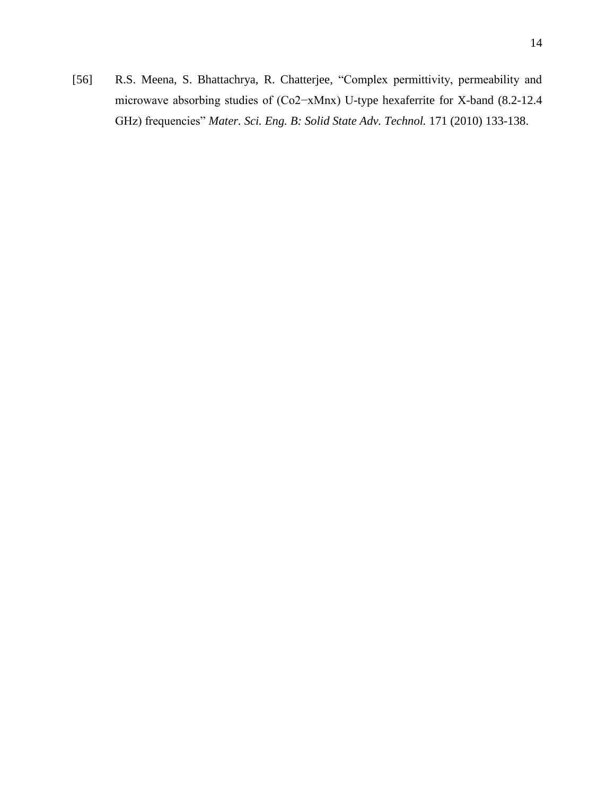[56] R.S. Meena, S. Bhattachrya, R. Chatterjee, "Complex permittivity, permeability and microwave absorbing studies of (Co2−xMnx) U-type hexaferrite for X-band (8.2-12.4 GHz) frequencies" *Mater. Sci. Eng. B: Solid State Adv. Technol.* 171 (2010) 133-138.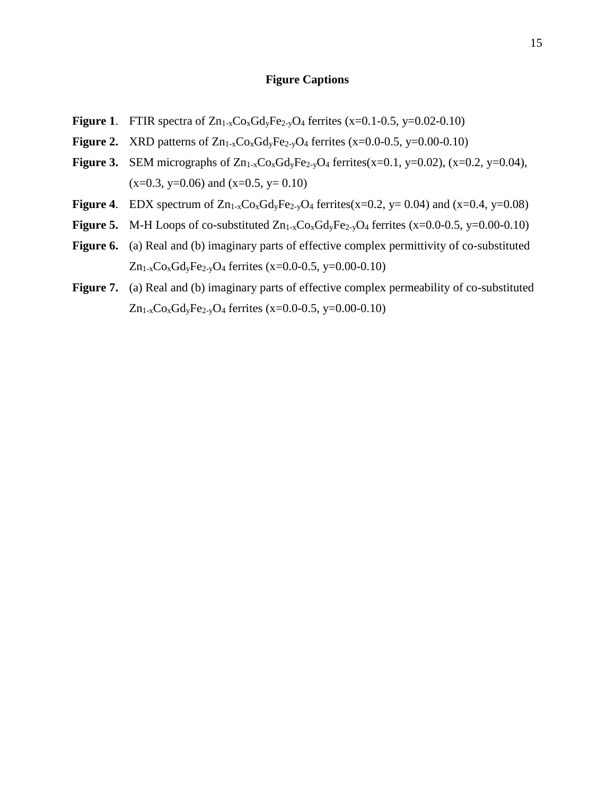#### **Figure Captions**

- **Figure 1.** FTIR spectra of  $Zn_{1-x}C_{0x}Gd_yFe_{2-y}O_4$  ferrites  $(x=0.1-0.5, y=0.02-0.10)$
- **Figure 2.** XRD patterns of  $Zn_{1-x}Co_xGdyFe_{2-y}O_4$  ferrites  $(x=0.0-0.5, y=0.00-0.10)$
- **Figure 3.** SEM micrographs of  $Zn_{1-x}Co_xGd_yFe_{2-y}O_4$  ferrites(x=0.1, y=0.02), (x=0.2, y=0.04),  $(x=0.3, y=0.06)$  and  $(x=0.5, y=0.10)$
- **Figure 4.** EDX spectrum of  $Zn_{1-x}Co_xGd_yFe_{2-y}O_4$  ferrites(x=0.2, y= 0.04) and (x=0.4, y=0.08)
- **Figure 5.** M-H Loops of co-substituted  $Zn_{1-x}Co_xGd_yFe_{2-y}O_4$  ferrites  $(x=0.0-0.5, y=0.00-0.10)$
- Figure 6. (a) Real and (b) imaginary parts of effective complex permittivity of co-substituted Zn<sub>1-x</sub>Co<sub>x</sub>Gd<sub>y</sub>Fe<sub>2-y</sub>O<sub>4</sub> ferrites (x=0.0-0.5, y=0.00-0.10)
- **Figure 7.** (a) Real and (b) imaginary parts of effective complex permeability of co-substituted  $Zn_{1-x}Co_xGd_yFe_{2-y}O_4$  ferrites (x=0.0-0.5, y=0.00-0.10)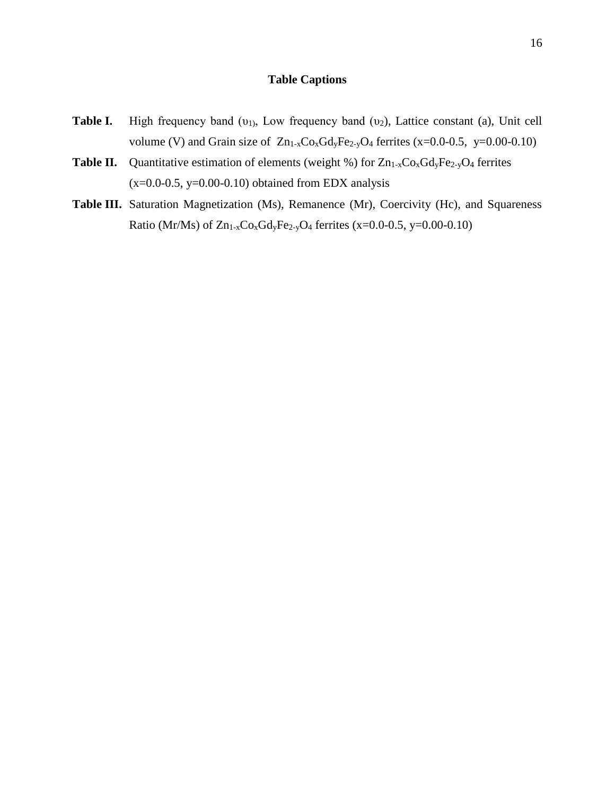# **Table Captions**

- **Table I.** High frequency band (υ<sub>1)</sub>, Low frequency band (υ<sub>2</sub>), Lattice constant (a), Unit cell volume (V) and Grain size of  $Zn_{1-x}Co_xGdyFe_{2-y}O_4$  ferrites (x=0.0-0.5, y=0.00-0.10)
- **Table II.** Quantitative estimation of elements (weight %) for  $Zn_{1-x}C_0XGd_yFe_{2-y}O_4$  ferrites  $(x=0.0-0.5, y=0.00-0.10)$  obtained from EDX analysis
- Table III. Saturation Magnetization (Ms), Remanence (Mr), Coercivity (Hc), and Squareness Ratio (Mr/Ms) of  $Zn_{1-x}Co_xGd_yFe_{2-y}O_4$  ferrites (x=0.0-0.5, y=0.00-0.10)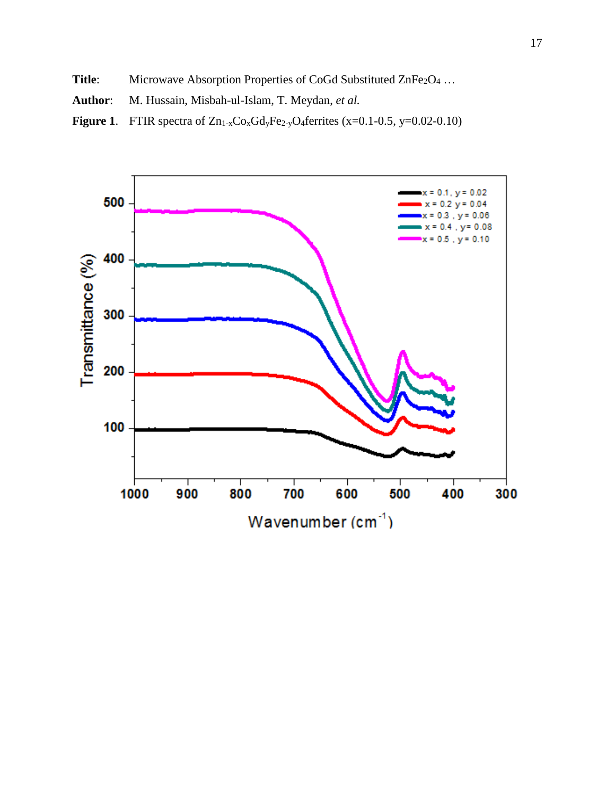- Title: Microwave Absorption Properties of CoGd Substituted ZnFe<sub>2</sub>O<sub>4</sub> ...
- **Author**: M. Hussain, Misbah-ul-Islam, T. Meydan, *et al.*
- **Figure 1.** FTIR spectra of  $Zn_1$ -xCo<sub>x</sub>Gd<sub>y</sub>Fe<sub>2-y</sub>O<sub>4</sub>ferrites (x=0.1-0.5, y=0.02-0.10)

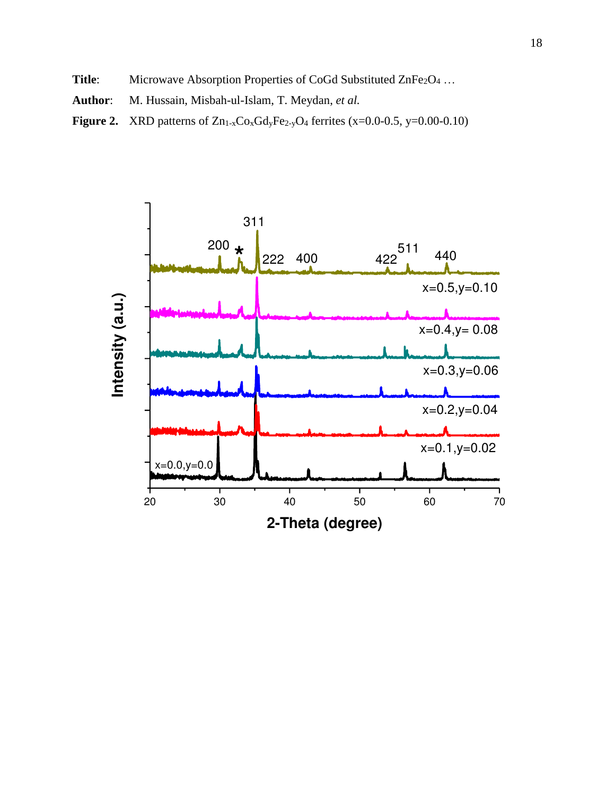- Title: Microwave Absorption Properties of CoGd Substituted ZnFe<sub>2</sub>O<sub>4</sub> ...
- **Author**: M. Hussain, Misbah-ul-Islam, T. Meydan, *et al.*
- **Figure 2.** XRD patterns of  $Zn_{1-x}Co_xGdyFe_{2-y}O_4$  ferrites (x=0.0-0.5, y=0.00-0.10)

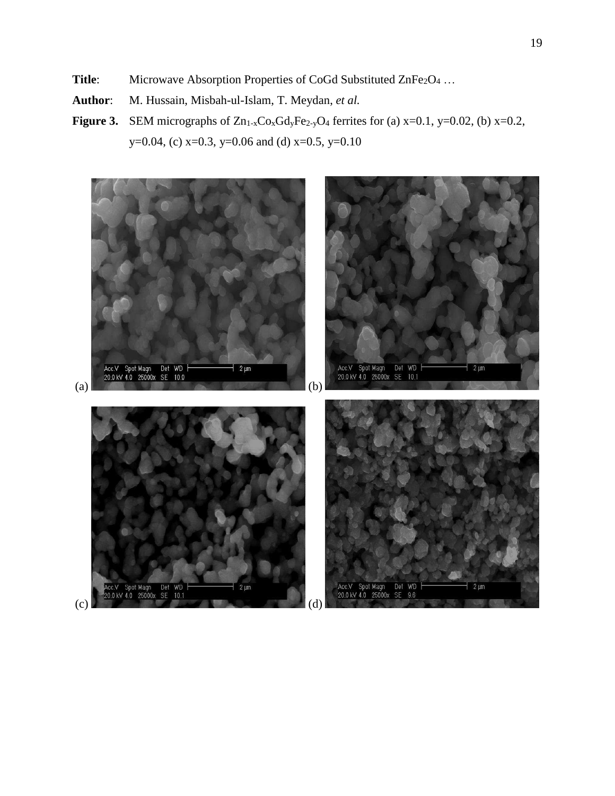- Title: Microwave Absorption Properties of CoGd Substituted ZnFe<sub>2</sub>O<sub>4</sub> ...
- **Author**: M. Hussain, Misbah-ul-Islam, T. Meydan, *et al.*
- **Figure 3.** SEM micrographs of  $Zn_{1-x}Co_xGd_yFe_{2-y}O_4$  ferrites for (a)  $x=0.1$ ,  $y=0.02$ , (b)  $x=0.2$ , y=0.04, (c) x=0.3, y=0.06 and (d) x=0.5, y=0.10

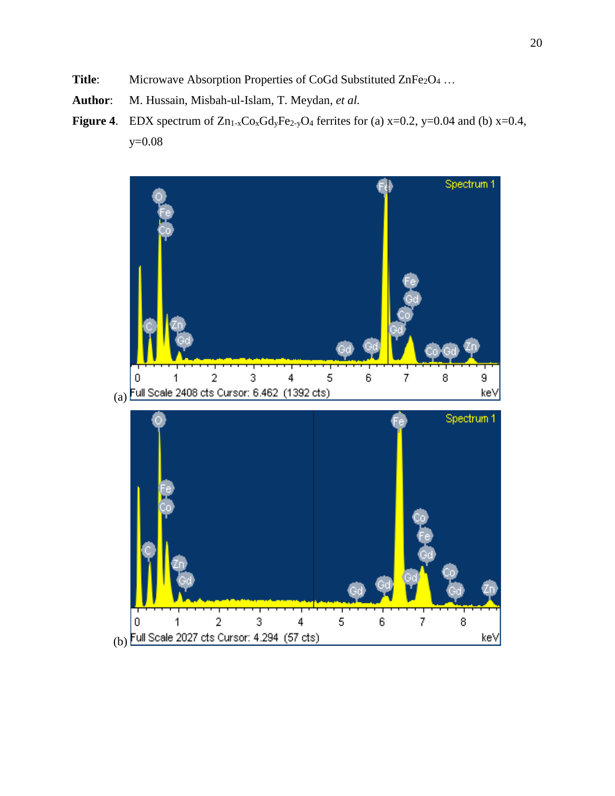- Title: Microwave Absorption Properties of CoGd Substituted ZnFe<sub>2</sub>O<sub>4</sub> ...
- **Author**: M. Hussain, Misbah-ul-Islam, T. Meydan, *et al.*
- **Figure 4.** EDX spectrum of  $Zn_{1-x}Co_xGdyFe_{2-y}O_4$  ferrites for (a)  $x=0.2$ ,  $y=0.04$  and (b)  $x=0.4$ , y=0.08

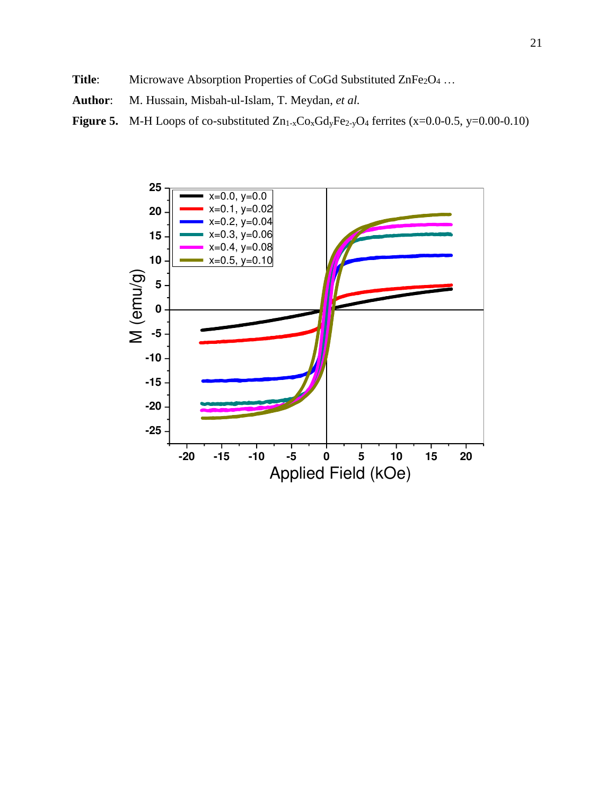- Title: Microwave Absorption Properties of CoGd Substituted ZnFe<sub>2</sub>O<sub>4</sub> ...
- **Author**: M. Hussain, Misbah-ul-Islam, T. Meydan, *et al.*
- **Figure 5.** M-H Loops of co-substituted  $Zn_1$ <sub>-x</sub>Co<sub>x</sub>Gd<sub>y</sub>Fe<sub>2-y</sub>O<sub>4</sub> ferrites (x=0.0-0.5, y=0.00-0.10)

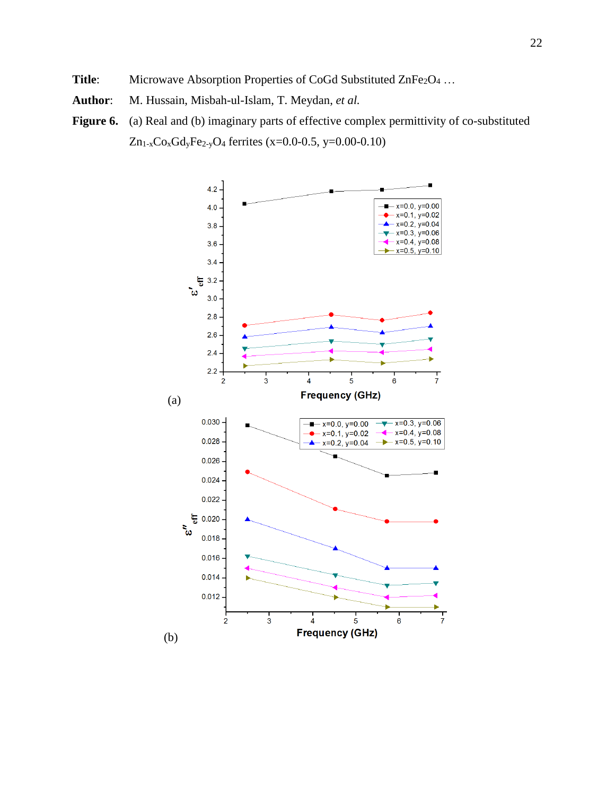- Title: Microwave Absorption Properties of CoGd Substituted ZnFe<sub>2</sub>O<sub>4</sub> ...
- **Author**: M. Hussain, Misbah-ul-Islam, T. Meydan, *et al.*
- Figure 6. (a) Real and (b) imaginary parts of effective complex permittivity of co-substituted Zn1-xCoxGdyFe2-yO4 ferrites (x=0.0-0.5, y=0.00-0.10)

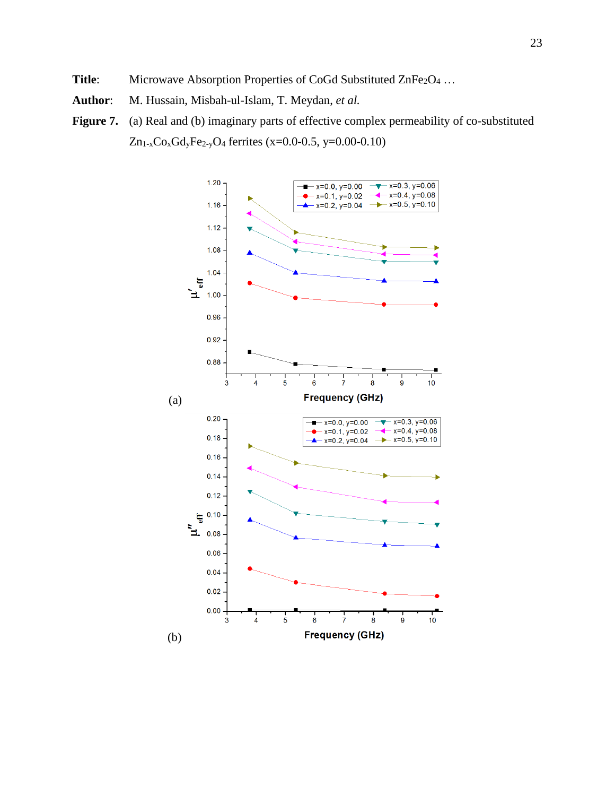- **Title:** Microwave Absorption Properties of CoGd Substituted ZnFe<sub>2</sub>O<sub>4</sub> ...
- **Author**: M. Hussain, Misbah-ul-Islam, T. Meydan, *et al.*
- Figure 7. (a) Real and (b) imaginary parts of effective complex permeability of co-substituted Zn<sub>1-x</sub>Co<sub>x</sub>Gd<sub>y</sub>Fe<sub>2-y</sub>O<sub>4</sub> ferrites (x=0.0-0.5, y=0.00-0.10)

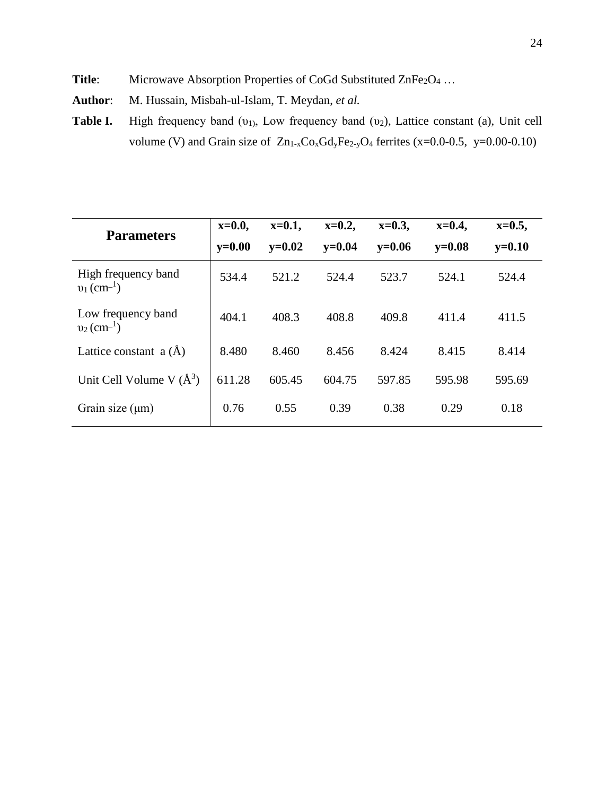- Title: Microwave Absorption Properties of CoGd Substituted ZnFe<sub>2</sub>O<sub>4</sub> ...
- **Author**: M. Hussain, Misbah-ul-Islam, T. Meydan, *et al.*
- **Table I.** High frequency band (υ<sub>1)</sub>, Low frequency band (υ<sub>2</sub>), Lattice constant (a), Unit cell volume (V) and Grain size of  $Zn_{1-x}Co_xGdyFe_{2-y}O_4$  ferrites (x=0.0-0.5, y=0.00-0.10)

| <b>Parameters</b>                                | $x=0.0$ ,  | $x=0.1$ , | $x=0.2$ ,  | $x=0.3$ , | $x=0.4$ , | $x=0.5$ , |
|--------------------------------------------------|------------|-----------|------------|-----------|-----------|-----------|
|                                                  | $v = 0.00$ | $v=0.02$  | $v = 0.04$ | $v=0.06$  | $y=0.08$  | $y=0.10$  |
| High frequency band<br>$v_1$ (cm <sup>-1</sup> ) | 534.4      | 521.2     | 524.4      | 523.7     | 524.1     | 524.4     |
| Low frequency band<br>$v_2$ (cm <sup>-1</sup> )  | 404.1      | 408.3     | 408.8      | 409.8     | 411.4     | 411.5     |
| Lattice constant $a(\tilde{A})$                  | 8.480      | 8.460     | 8.456      | 8.424     | 8.415     | 8.414     |
| Unit Cell Volume V $(\AA^3)$                     | 611.28     | 605.45    | 604.75     | 597.85    | 595.98    | 595.69    |
| Grain size $(\mu m)$                             | 0.76       | 0.55      | 0.39       | 0.38      | 0.29      | 0.18      |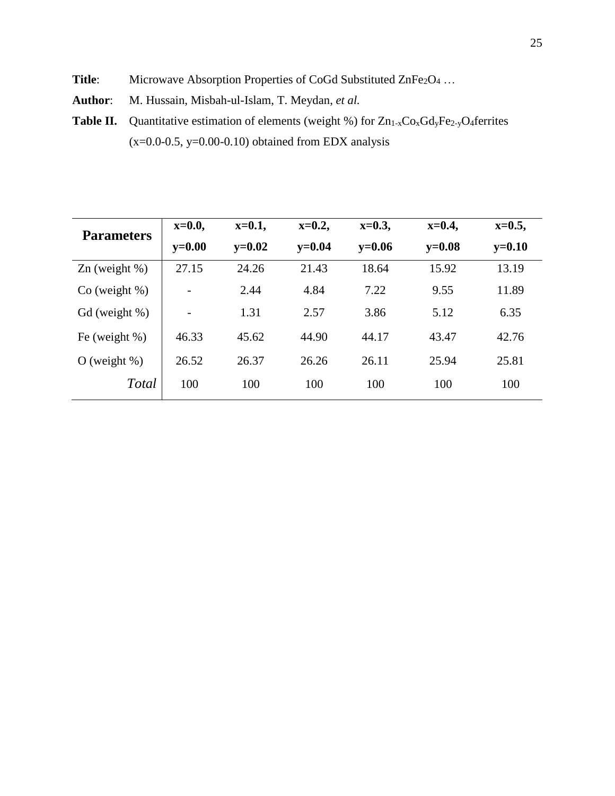- Title: Microwave Absorption Properties of CoGd Substituted ZnFe<sub>2</sub>O<sub>4</sub> ...
- **Author**: M. Hussain, Misbah-ul-Islam, T. Meydan, *et al.*
- **Table II.** Quantitative estimation of elements (weight %) for  $Zn_{1-x}Co_xGdyFe_{2-y}O_4$  ferrites  $(x=0.0-0.5, y=0.00-0.10)$  obtained from EDX analysis

| <b>Parameters</b>      | $x=0.0$ ,                | $x=0.1$ , | $x=0.2$ , | $x=0.3$ , | $x=0.4$ , | $x=0.5$ , |
|------------------------|--------------------------|-----------|-----------|-----------|-----------|-----------|
|                        | $y=0.00$                 | $y=0.02$  | $y=0.04$  | $y=0.06$  | $y=0.08$  | $y=0.10$  |
| $\text{Zn}$ (weight %) | 27.15                    | 24.26     | 21.43     | 18.64     | 15.92     | 13.19     |
| $Co$ (weight %)        | $\overline{\phantom{a}}$ | 2.44      | 4.84      | 7.22      | 9.55      | 11.89     |
| $Gd$ (weight %)        |                          | 1.31      | 2.57      | 3.86      | 5.12      | 6.35      |
| Fe (weight $%$ )       | 46.33                    | 45.62     | 44.90     | 44.17     | 43.47     | 42.76     |
| $O$ (weight %)         | 26.52                    | 26.37     | 26.26     | 26.11     | 25.94     | 25.81     |
| <b>Total</b>           | 100                      | 100       | 100       | 100       | 100       | 100       |